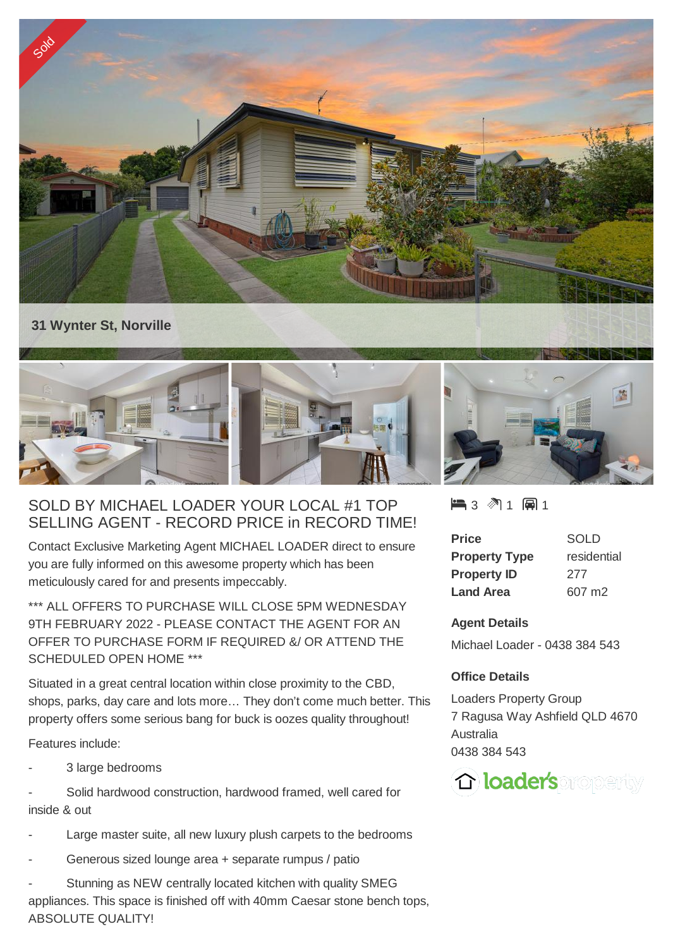

## **31 Wynter St, Norville**



## SOLD BY MICHAEL LOADER YOUR LOCAL #1 TOP SELLING AGENT - RECORD PRICE in RECORD TIME!

Contact Exclusive Marketing Agent MICHAEL LOADER direct to ensure you are fully informed on this awesome property which has been meticulously cared for and presents impeccably.

\*\*\* ALL OFFERS TO PURCHASE WILL CLOSE 5PM WEDNESDAY 9TH FEBRUARY 2022 - PLEASE CONTACT THE AGENT FOR AN OFFER TO PURCHASE FORM IF REQUIRED &/ OR ATTEND THE SCHEDULED OPEN HOME \*\*\*

Situated in a great central location within close proximity to the CBD, shops, parks, day care and lots more… They don't come much better. This property offers some serious bang for buck is oozes quality throughout!

Features include:

3 large bedrooms

Solid hardwood construction, hardwood framed, well cared for inside & out

- Large master suite, all new luxury plush carpets to the bedrooms
- Generous sized lounge area + separate rumpus / patio

Stunning as NEW centrally located kitchen with quality SMEG appliances. This space is finished off with 40mm Caesar stone bench tops, ABSOLUTE QUALITY!

 $\blacksquare$  3  $\blacksquare$  1  $\blacksquare$  1

| Price                | <b>SOLD</b> |
|----------------------|-------------|
| <b>Property Type</b> | residential |
| <b>Property ID</b>   | 277         |
| <b>Land Area</b>     | 607 m2      |

## **Agent Details**

Michael Loader - 0438 384 543

## **Office Details**

Loaders Property Group 7 Ragusa Way Ashfield QLD 4670 Australia 0438 384 543

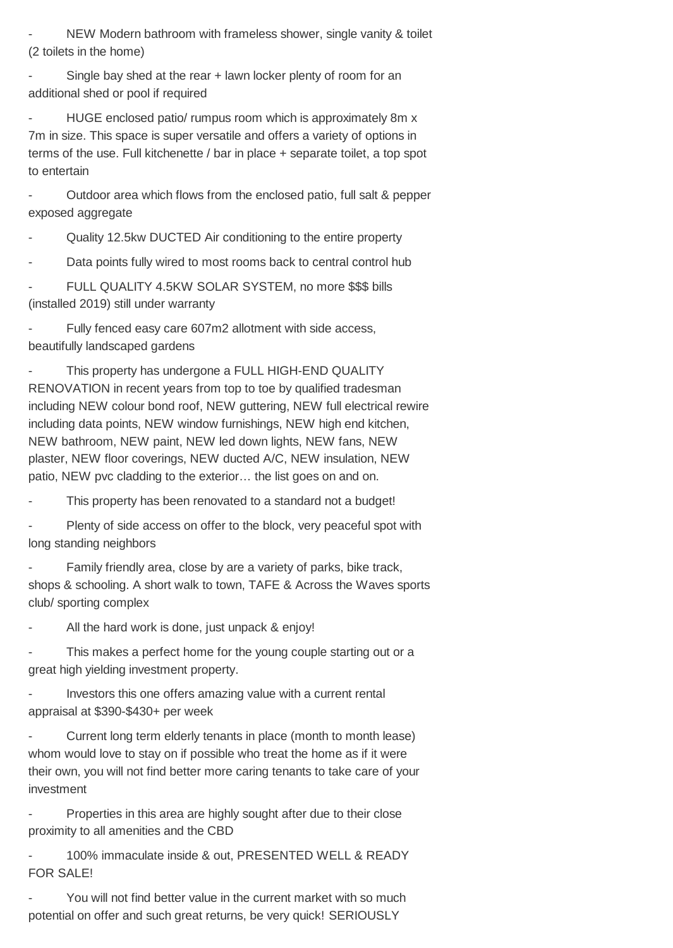NEW Modern bathroom with frameless shower, single vanity & toilet (2 toilets in the home)

Single bay shed at the rear + lawn locker plenty of room for an additional shed or pool if required

HUGE enclosed patio/ rumpus room which is approximately 8m x 7m in size. This space is super versatile and offers a variety of options in terms of the use. Full kitchenette / bar in place + separate toilet, a top spot to entertain

- Outdoor area which flows from the enclosed patio, full salt & pepper exposed aggregate

- Quality 12.5kw DUCTED Air conditioning to the entire property

Data points fully wired to most rooms back to central control hub

FULL QUALITY 4.5KW SOLAR SYSTEM, no more \$\$\$ bills (installed 2019) still under warranty

Fully fenced easy care 607m2 allotment with side access, beautifully landscaped gardens

This property has undergone a FULL HIGH-END QUALITY RENOVATION in recent years from top to toe by qualified tradesman including NEW colour bond roof, NEW guttering, NEW full electrical rewire including data points, NEW window furnishings, NEW high end kitchen, NEW bathroom, NEW paint, NEW led down lights, NEW fans, NEW plaster, NEW floor coverings, NEW ducted A/C, NEW insulation, NEW patio, NEW pvc cladding to the exterior… the list goes on and on.

This property has been renovated to a standard not a budget!

Plenty of side access on offer to the block, very peaceful spot with long standing neighbors

Family friendly area, close by are a variety of parks, bike track, shops & schooling. A short walk to town, TAFE & Across the Waves sports club/ sporting complex

All the hard work is done, just unpack & enjoy!

This makes a perfect home for the young couple starting out or a great high yielding investment property.

Investors this one offers amazing value with a current rental appraisal at \$390-\$430+ per week

Current long term elderly tenants in place (month to month lease) whom would love to stay on if possible who treat the home as if it were their own, you will not find better more caring tenants to take care of your investment

Properties in this area are highly sought after due to their close proximity to all amenities and the CBD

100% immaculate inside & out, PRESENTED WELL & READY FOR SALE!

You will not find better value in the current market with so much potential on offer and such great returns, be very quick! SERIOUSLY